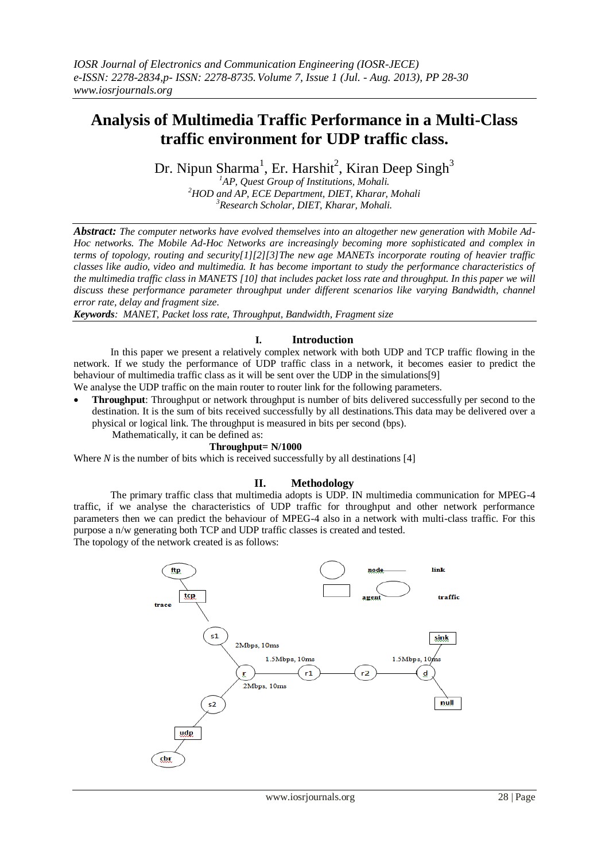# **Analysis of Multimedia Traffic Performance in a Multi-Class traffic environment for UDP traffic class.**

Dr. Nipun Sharma<sup>1</sup>, Er. Harshit<sup>2</sup>, Kiran Deep Singh<sup>3</sup>

*<sup>1</sup>AP, Quest Group of Institutions, Mohali. <sup>2</sup>HOD and AP, ECE Department, DIET, Kharar, Mohali <sup>3</sup>Research Scholar, DIET, Kharar, Mohali.*

*Abstract: The computer networks have evolved themselves into an altogether new generation with Mobile Ad-Hoc networks. The Mobile Ad-Hoc Networks are increasingly becoming more sophisticated and complex in terms of topology, routing and security[1][2][3]The new age MANETs incorporate routing of heavier traffic classes like audio, video and multimedia. It has become important to study the performance characteristics of the multimedia traffic class in MANETS [10] that includes packet loss rate and throughput. In this paper we will discuss these performance parameter throughput under different scenarios like varying Bandwidth, channel error rate, delay and fragment size.*

*Keywords: MANET, Packet loss rate, Throughput, Bandwidth, Fragment size* 

### **I. Introduction**

In this paper we present a relatively complex network with both UDP and TCP traffic flowing in the network. If we study the performance of UDP traffic class in a network, it becomes easier to predict the behaviour of multimedia traffic class as it will be sent over the UDP in the simulations[9] We analyse the UDP traffic on the main router to router link for the following parameters.

 **Throughput**: Throughput or network throughput is number of bits delivered successfully per second to the destination. It is the sum of bits received successfully by all destinations.This data may be delivered over a physical or logical link. The throughput is measured in bits per second (bps). Mathematically, it can be defined as:

### **Throughput= N/1000**

Where  $N$  is the number of bits which is received successfully by all destinations [4]

## **II. Methodology**

The primary traffic class that multimedia adopts is UDP. IN multimedia communication for MPEG-4 traffic, if we analyse the characteristics of UDP traffic for throughput and other network performance parameters then we can predict the behaviour of MPEG-4 also in a network with multi-class traffic. For this purpose a n/w generating both TCP and UDP traffic classes is created and tested. The topology of the network created is as follows:

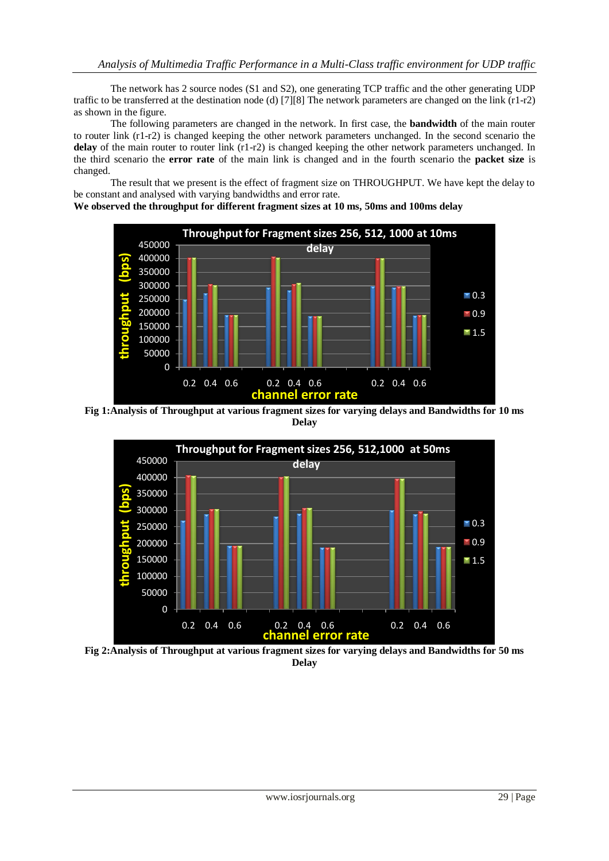The network has 2 source nodes (S1 and S2), one generating TCP traffic and the other generating UDP traffic to be transferred at the destination node (d) [7][8] The network parameters are changed on the link (r1-r2) as shown in the figure.

The following parameters are changed in the network. In first case, the **bandwidth** of the main router to router link (r1-r2) is changed keeping the other network parameters unchanged. In the second scenario the **delay** of the main router to router link (r1-r2) is changed keeping the other network parameters unchanged. In the third scenario the **error rate** of the main link is changed and in the fourth scenario the **packet size** is changed.

The result that we present is the effect of fragment size on THROUGHPUT. We have kept the delay to be constant and analysed with varying bandwidths and error rate.

**We observed the throughput for different fragment sizes at 10 ms, 50ms and 100ms delay**



**Fig 1:Analysis of Throughput at various fragment sizes for varying delays and Bandwidths for 10 ms Delay**



**Fig 2:Analysis of Throughput at various fragment sizes for varying delays and Bandwidths for 50 ms Delay**